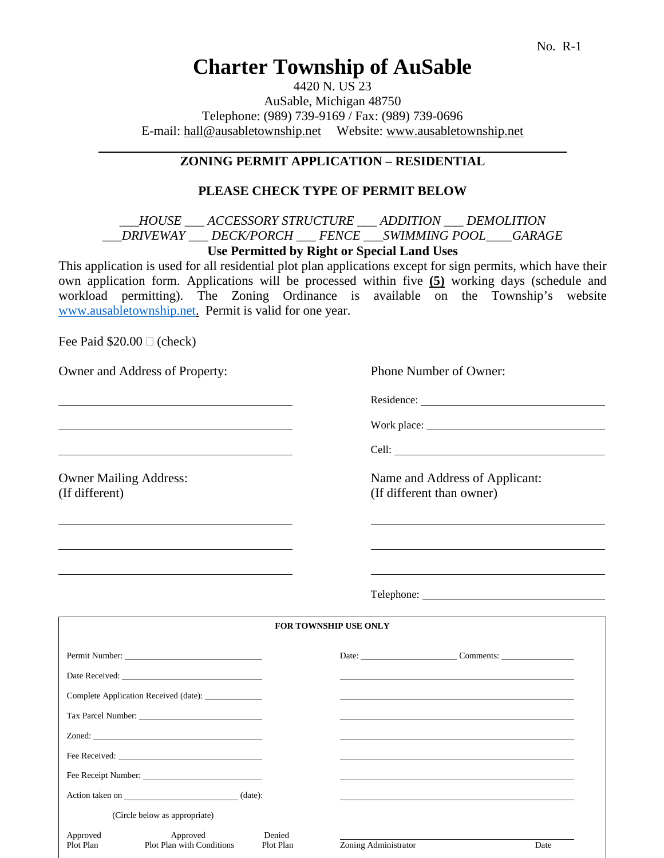# **Charter Township of AuSable**

4420 N. US 23 AuSable, Michigan 48750 Telephone: (989) 739-9169 / Fax: (989) 739-0696 E-mail: hall@ausabletownship.net Website: www.ausabletownship.net

# **ZONING PERMIT APPLICATION – RESIDENTIAL**

### **PLEASE CHECK TYPE OF PERMIT BELOW**

### *\_\_\_HOUSE \_\_\_ ACCESSORY STRUCTURE \_\_\_ ADDITION \_\_\_ DEMOLITION \_\_\_DRIVEWAY \_\_\_ DECK/PORCH \_\_\_ FENCE \_\_\_SWIMMING POOL\_\_\_\_GARAGE* **Use Permitted by Right or Special Land Uses**

This application is used for all residential plot plan applications except for sign permits, which have their own application form. Applications will be processed within five **(5)** working days (schedule and workload permitting). The Zoning Ordinance is available on the Township's website [www.ausabletownship.net.](http://www.ausabletownship.net/) Permit is valid for one year.

Fee Paid  $$20.00 \square$  (check)

Owner and Address of Property: Phone Number of Owner:

Residence:

Work place:

Cell:

Owner Mailing Address: Name and Address of Applicant: (If different) (If different than owner)

Telephone:

| <b>FOR TOWNSHIP USE ONLY</b>  |                                                     |                     |                      |                                                                                                                      |  |  |
|-------------------------------|-----------------------------------------------------|---------------------|----------------------|----------------------------------------------------------------------------------------------------------------------|--|--|
| Permit Number:                |                                                     |                     |                      | Date: <u>Comments: Comments:</u>                                                                                     |  |  |
|                               |                                                     |                     |                      |                                                                                                                      |  |  |
|                               | Complete Application Received (date): _____________ |                     |                      | <u> 1989 - Andrea Santa Andrea Santa Andrea Santa Andrea Santa Andrea Santa Andrea Santa Andrea Santa Andrea San</u> |  |  |
|                               | Tax Parcel Number:                                  |                     |                      |                                                                                                                      |  |  |
|                               |                                                     |                     |                      |                                                                                                                      |  |  |
|                               |                                                     |                     |                      |                                                                                                                      |  |  |
|                               | Fee Receipt Number:                                 |                     |                      |                                                                                                                      |  |  |
| Action taken on (date):       |                                                     |                     |                      |                                                                                                                      |  |  |
| (Circle below as appropriate) |                                                     |                     |                      |                                                                                                                      |  |  |
| Approved<br>Plot Plan         | Approved<br>Plot Plan with Conditions               | Denied<br>Plot Plan | Zoning Administrator | Date                                                                                                                 |  |  |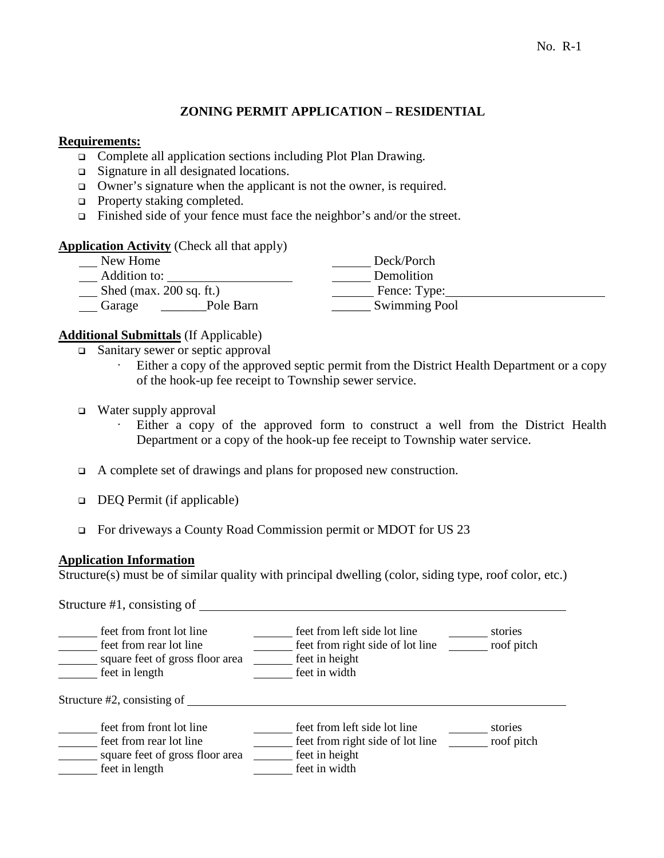# **ZONING PERMIT APPLICATION – RESIDENTIAL**

### **Requirements:**

- □ Complete all application sections including Plot Plan Drawing.
- □ Signature in all designated locations.
- $\Box$  Owner's signature when the applicant is not the owner, is required.
- **D** Property staking completed.
- $\Box$  Finished side of your fence must face the neighbor's and/or the street.

#### **Application Activity** (Check all that apply)

| New Home                  | Deck/Porch           |  |
|---------------------------|----------------------|--|
| Addition to:              | Demolition           |  |
| Shed (max. $200$ sq. ft.) | Fence: Type:         |  |
| Pole Barn<br>Garage       | <b>Swimming Pool</b> |  |

#### **Additional Submittals** (If Applicable)

- □ Sanitary sewer or septic approval
	- Either a copy of the approved septic permit from the District Health Department or a copy of the hook-up fee receipt to Township sewer service.
- □ Water supply approval
	- Either a copy of the approved form to construct a well from the District Health Department or a copy of the hook-up fee receipt to Township water service.
- A complete set of drawings and plans for proposed new construction.
- DEQ Permit (if applicable)
- For driveways a County Road Commission permit or MDOT for US 23

#### **Application Information**

Structure(s) must be of similar quality with principal dwelling (color, siding type, roof color, etc.)

Structure #1, consisting of

| feet from front lot line<br>feet from rear lot line<br>square feet of gross floor area<br>feet in length | feet from left side lot line<br>feet from right side of lot line<br>feet in height<br>feet in width | stories<br>roof pitch |  |  |  |  |  |
|----------------------------------------------------------------------------------------------------------|-----------------------------------------------------------------------------------------------------|-----------------------|--|--|--|--|--|
| Structure $#2$ , consisting of                                                                           |                                                                                                     |                       |  |  |  |  |  |
| feet from front lot line<br>feet from rear lot line<br>square feet of gross floor area<br>feet in length | feet from left side lot line<br>feet from right side of lot line<br>feet in height<br>feet in width | stories<br>roof pitch |  |  |  |  |  |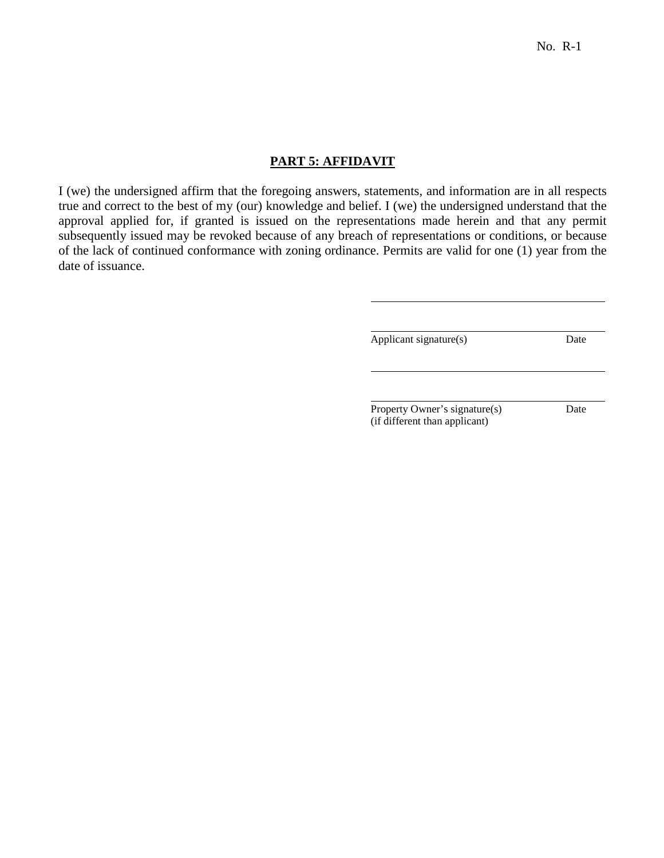### **PART 5: AFFIDAVIT**

I (we) the undersigned affirm that the foregoing answers, statements, and information are in all respects true and correct to the best of my (our) knowledge and belief. I (we) the undersigned understand that the approval applied for, if granted is issued on the representations made herein and that any permit subsequently issued may be revoked because of any breach of representations or conditions, or because of the lack of continued conformance with zoning ordinance. Permits are valid for one (1) year from the date of issuance.

Applicant signature(s) Date

Property Owner's signature(s) Date (if different than applicant)